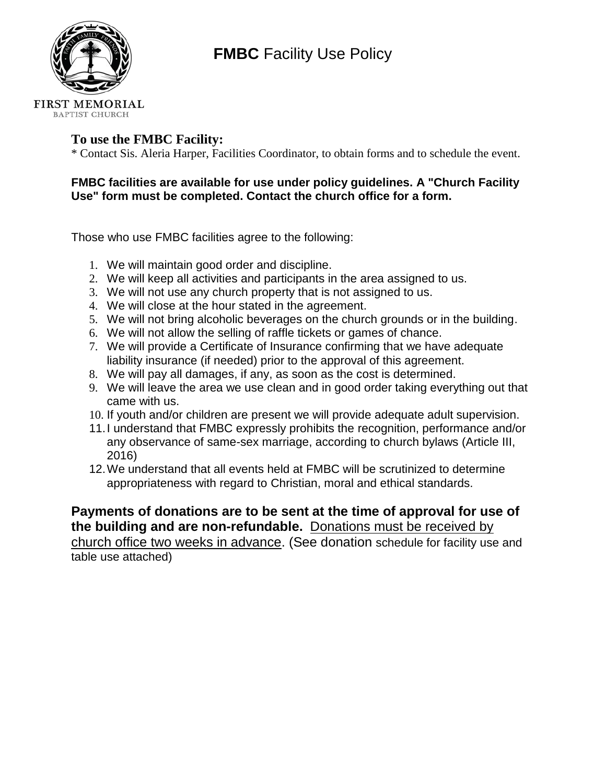

# **FMBC** Facility Use Policy

### **To use the FMBC Facility:**

\* Contact Sis. Aleria Harper, Facilities Coordinator, to obtain forms and to schedule the event.

#### **FMBC facilities are available for use under policy guidelines. A "Church Facility Use" form must be completed. Contact the church office for a form.**

Those who use FMBC facilities agree to the following:

- 1. We will maintain good order and discipline.
- 2. We will keep all activities and participants in the area assigned to us.
- 3. We will not use any church property that is not assigned to us.
- 4. We will close at the hour stated in the agreement.
- 5. We will not bring alcoholic beverages on the church grounds or in the building.
- 6. We will not allow the selling of raffle tickets or games of chance.
- 7. We will provide a Certificate of Insurance confirming that we have adequate liability insurance (if needed) prior to the approval of this agreement.
- 8. We will pay all damages, if any, as soon as the cost is determined.
- 9. We will leave the area we use clean and in good order taking everything out that came with us.
- 10. If youth and/or children are present we will provide adequate adult supervision.
- 11.I understand that FMBC expressly prohibits the recognition, performance and/or any observance of same-sex marriage, according to church bylaws (Article III, 2016)
- 12.We understand that all events held at FMBC will be scrutinized to determine appropriateness with regard to Christian, moral and ethical standards.

**Payments of donations are to be sent at the time of approval for use of the building and are non-refundable.** Donations must be received by church office two weeks in advance. (See donation schedule for facility use and table use attached)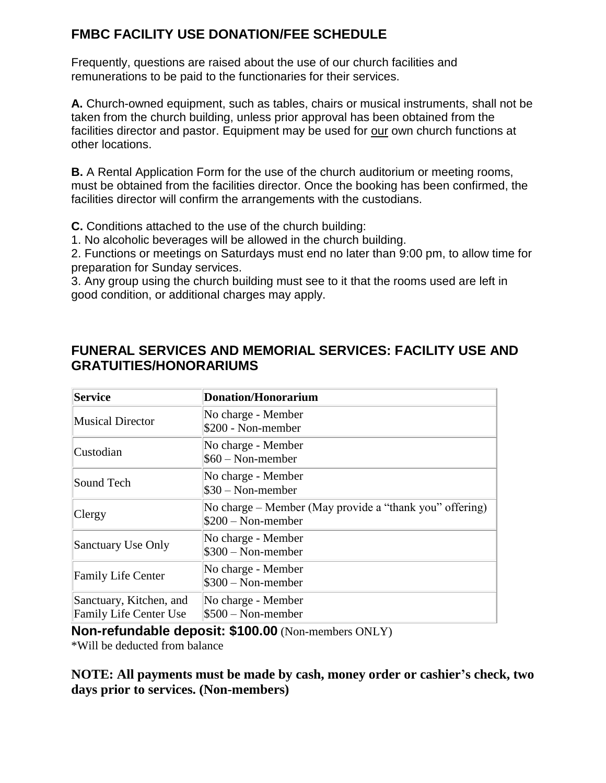## **FMBC FACILITY USE DONATION/FEE SCHEDULE**

Frequently, questions are raised about the use of our church facilities and remunerations to be paid to the functionaries for their services.

**A.** Church-owned equipment, such as tables, chairs or musical instruments, shall not be taken from the church building, unless prior approval has been obtained from the facilities director and pastor. Equipment may be used for our own church functions at other locations.

**B.** A Rental Application Form for the use of the church auditorium or meeting rooms, must be obtained from the facilities director. Once the booking has been confirmed, the facilities director will confirm the arrangements with the custodians.

**C.** Conditions attached to the use of the church building:

1. No alcoholic beverages will be allowed in the church building.

2. Functions or meetings on Saturdays must end no later than 9:00 pm, to allow time for preparation for Sunday services.

3. Any group using the church building must see to it that the rooms used are left in good condition, or additional charges may apply.

## **FUNERAL SERVICES AND MEMORIAL SERVICES: FACILITY USE AND GRATUITIES/HONORARIUMS**

| Service                                                  | <b>Donation/Honorarium</b>                                                     |
|----------------------------------------------------------|--------------------------------------------------------------------------------|
| Musical Director                                         | No charge - Member<br>\$200 - Non-member                                       |
| Custodian                                                | No charge - Member<br>$$60 - Non-member$                                       |
| Sound Tech                                               | No charge - Member<br>$\$30 - \text{Non-member}$                               |
| Clergy                                                   | No charge - Member (May provide a "thank you" offering)<br>$$200 - Non-member$ |
| Sanctuary Use Only                                       | No charge - Member<br>\$300 - Non-member                                       |
| <b>Family Life Center</b>                                | No charge - Member<br>$\$300 - \text{Non-member}$                              |
| Sanctuary, Kitchen, and<br><b>Family Life Center Use</b> | No charge - Member<br>$$500 - Non-member$                                      |

**Non-refundable deposit: \$100.00** (Non-members ONLY)

\*Will be deducted from balance

**NOTE: All payments must be made by cash, money order or cashier's check, two days prior to services. (Non-members)**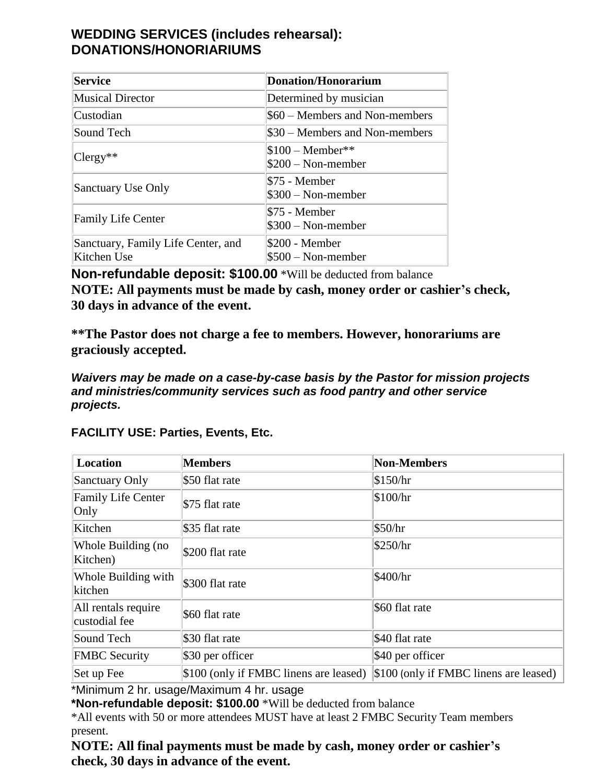## **WEDDING SERVICES (includes rehearsal): DONATIONS/HONORIARIUMS**

| Service                                           | <b>Donation/Honorarium</b>               |
|---------------------------------------------------|------------------------------------------|
| <b>Musical Director</b>                           | Determined by musician                   |
| Custodian                                         | \$60 – Members and Non-members           |
| Sound Tech                                        | \$30 – Members and Non-members           |
| $ C[key^{**}]$                                    | $$100 - Member**$<br>$$200 - Non-member$ |
| <b>Sanctuary Use Only</b>                         | \$75 - Member<br>$$300 - Non-member$     |
| <b>Family Life Center</b>                         | \$75 - Member<br>$$300 - Non-member$     |
| Sanctuary, Family Life Center, and<br>Kitchen Use | \$200 - Member<br>$$500 - Non-member$    |

**Non-refundable deposit: \$100.00** \*Will be deducted from balance

**NOTE: All payments must be made by cash, money order or cashier's check, 30 days in advance of the event.**

**\*\*The Pastor does not charge a fee to members. However, honorariums are graciously accepted.**

*Waivers may be made on a case-by-case basis by the Pastor for mission projects and ministries/community services such as food pantry and other service projects.*

**FACILITY USE: Parties, Events, Etc.**

| Location                             | <b>Members</b>                         | <b>Non-Members</b>                                     |
|--------------------------------------|----------------------------------------|--------------------------------------------------------|
| Sanctuary Only                       | \$50 flat rate                         | \$150/hr                                               |
| <b>Family Life Center</b><br>Only    | \$75 flat rate                         | \$100/hr                                               |
| Kitchen                              | \$35 flat rate                         | \$50/hr                                                |
| Whole Building (no<br>Kitchen)       | \$200 flat rate                        | \$250/hr                                               |
| Whole Building with<br>kitchen       | \$300 flat rate                        | \$400/hr                                               |
| All rentals require<br>custodial fee | \$60 flat rate                         | \$60 flat rate                                         |
| Sound Tech                           | \$30 flat rate                         | \$40 flat rate                                         |
| <b>FMBC</b> Security                 | \$30 per officer                       | \$40 per officer                                       |
| Set up Fee                           | \$100 (only if FMBC linens are leased) | $\vert$ \$100 (only if FMBC linens are leased) $\vert$ |

\*Minimum 2 hr. usage/Maximum 4 hr. usage

**\*Non-refundable deposit: \$100.00** \*Will be deducted from balance

\*All events with 50 or more attendees MUST have at least 2 FMBC Security Team members present.

**NOTE: All final payments must be made by cash, money order or cashier's check, 30 days in advance of the event.**